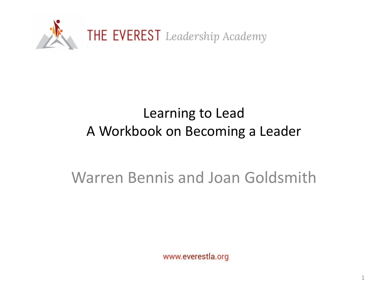

#### Learning to Lead A Workbook on Becoming a Leader

#### Warren Bennis and Joan Goldsmith

www.everestla.org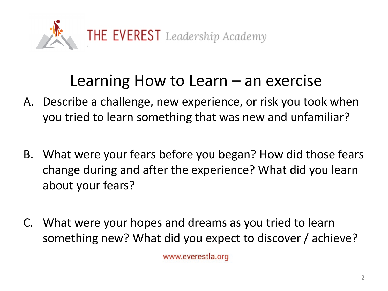

### Learning How to Learn – an exercise

- A. Describe a challenge, new experience, or risk you took when you tried to learn something that was new and unfamiliar?
- B. What were your fears before you began? How did those fears change during and after the experience? What did you learn about your fears?
- C. What were your hopes and dreams as you tried to learn something new? What did you expect to discover / achieve?

www.everestla.org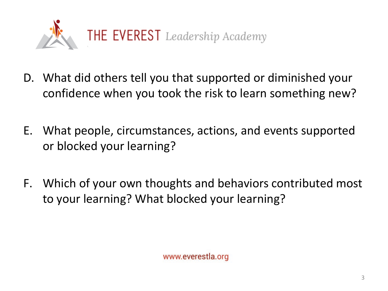

- D. What did others tell you that supported or diminished your confidence when you took the risk to learn something new?
- E. What people, circumstances, actions, and events supported or blocked your learning?
- F. Which of your own thoughts and behaviors contributed most to your learning? What blocked your learning?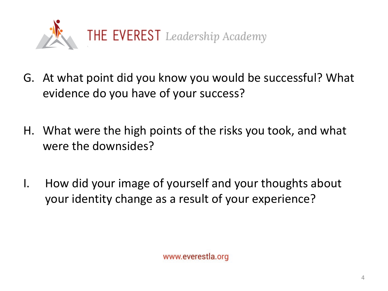

- G. At what point did you know you would be successful? What evidence do you have of your success?
- H. What were the high points of the risks you took, and what were the downsides?
- I. How did your image of yourself and your thoughts about your identity change as a result of your experience?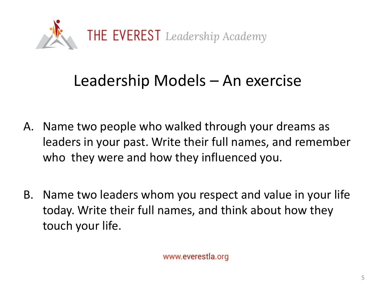

## Leadership Models – An exercise

- A. Name two people who walked through your dreams as leaders in your past. Write their full names, and remember who they were and how they influenced you.
- B. Name two leaders whom you respect and value in your life today. Write their full names, and think about how they touch your life.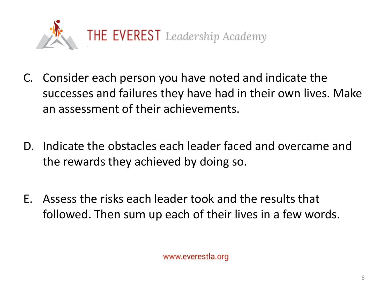

- C. Consider each person you have noted and indicate the successes and failures they have had in their own lives. Make an assessment of their achievements.
- D. Indicate the obstacles each leader faced and overcame and the rewards they achieved by doing so.
- E. Assess the risks each leader took and the results that followed. Then sum up each of their lives in a few words.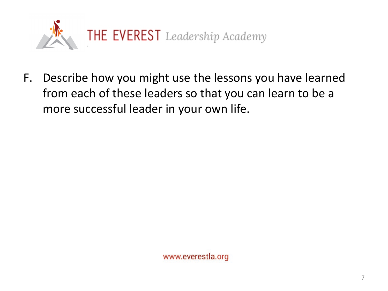

F. Describe how you might use the lessons you have learned from each of these leaders so that you can learn to be a more successful leader in your own life.